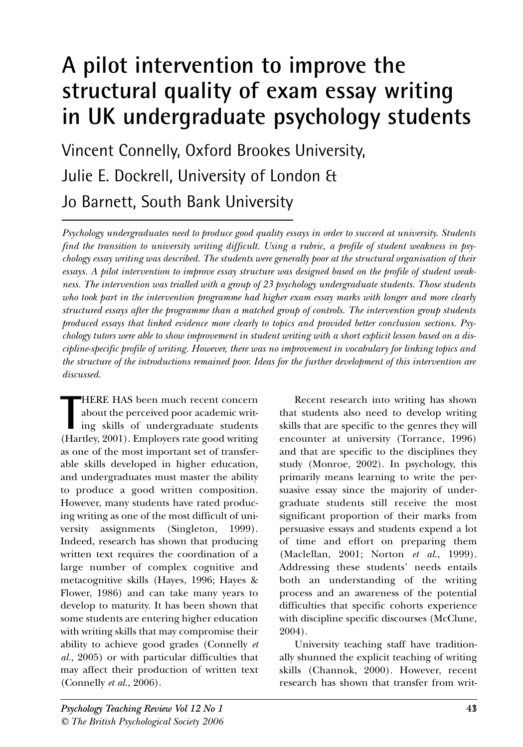# **A pilot intervention to improve the structural quality of exam essay writing in UK undergraduate psychology students**

Vincent Connelly, Oxford Brookes University, Julie E. Dockrell, University of London & Jo Barnett, South Bank University

*Psychology undergraduates need to produce good quality essays in order to succeed at university. Students find the transition to university writing difficult. Using a rubric, a profile of student weakness in psychology essay writing was described. The students were generally poor at the structural organisation of their essays. A pilot intervention to improve essay structure was designed based on the profile of student weakness. The intervention was trialled with a group of 23 psychology undergraduate students. Those students who took part in the intervention programme had higher exam essay marks with longer and more clearly structured essays after the programme than a matched group of controls. The intervention group students produced essays that linked evidence more clearly to topics and provided better conclusion sections. Psychology tutors were able to show improvement in student writing with a short explicit lesson based on a discipline-specific profile of writing. However, there was no improvement in vocabulary for linking topics and the structure of the introductions remained poor. Ideas for the further development of this intervention are discussed.* 

HERE HAS been much recent concern<br>about the perceived poor academic writ-<br>ing skills of undergraduate students<br>(Hartley, 2001). Employers rate good writing HERE HAS been much recent concern about the perceived poor academic writing skills of undergraduate students as one of the most important set of transferable skills developed in higher education, and undergraduates must master the ability to produce a good written composition. However, many students have rated producing writing as one of the most difficult of university assignments (Singleton, 1999). Indeed, research has shown that producing written text requires the coordination of a large number of complex cognitive and metacognitive skills (Hayes, 1996; Hayes & Flower, 1986) and can take many years to develop to maturity. It has been shown that some students are entering higher education with writing skills that may compromise their ability to achieve good grades (Connelly *et al.*, 2005) or with particular difficulties that may affect their production of written text (Connelly *et al.*, 2006).

Recent research into writing has shown that students also need to develop writing skills that are specific to the genres they will encounter at university (Torrance, 1996) and that are specific to the disciplines they study (Monroe, 2002). In psychology, this primarily means learning to write the persuasive essay since the majority of undergraduate students still receive the most significant proportion of their marks from persuasive essays and students expend a lot of time and effort on preparing them (Maclellan, 2001; Norton *et al.*, 1999). Addressing these students' needs entails both an understanding of the writing process and an awareness of the potential difficulties that specific cohorts experience with discipline specific discourses (McClune, 2004).

University teaching staff have traditionally shunned the explicit teaching of writing skills (Channok, 2000). However, recent research has shown that transfer from writ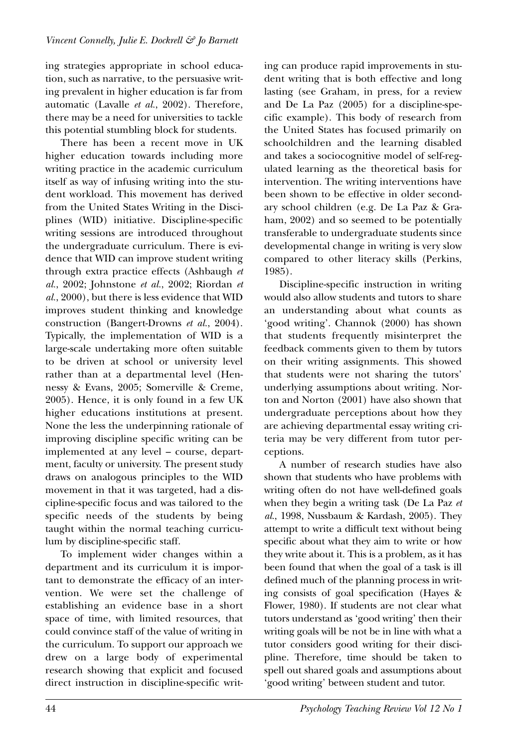ing strategies appropriate in school education, such as narrative, to the persuasive writing prevalent in higher education is far from automatic (Lavalle *et al.*, 2002). Therefore, there may be a need for universities to tackle this potential stumbling block for students.

There has been a recent move in UK higher education towards including more writing practice in the academic curriculum itself as way of infusing writing into the student workload. This movement has derived from the United States Writing in the Disciplines (WID) initiative. Discipline-specific writing sessions are introduced throughout the undergraduate curriculum. There is evidence that WID can improve student writing through extra practice effects (Ashbaugh *et al.*, 2002; Johnstone *et al.*, 2002; Riordan *et al.*, 2000), but there is less evidence that WID improves student thinking and knowledge construction (Bangert-Drowns *et al.*, 2004). Typically, the implementation of WID is a large-scale undertaking more often suitable to be driven at school or university level rather than at a departmental level (Hennessy & Evans, 2005; Somerville & Creme, 2005). Hence, it is only found in a few UK higher educations institutions at present. None the less the underpinning rationale of improving discipline specific writing can be implemented at any level – course, department, faculty or university. The present study draws on analogous principles to the WID movement in that it was targeted, had a discipline-specific focus and was tailored to the specific needs of the students by being taught within the normal teaching curriculum by discipline-specific staff.

To implement wider changes within a department and its curriculum it is important to demonstrate the efficacy of an intervention. We were set the challenge of establishing an evidence base in a short space of time, with limited resources, that could convince staff of the value of writing in the curriculum. To support our approach we drew on a large body of experimental research showing that explicit and focused direct instruction in discipline-specific writing can produce rapid improvements in student writing that is both effective and long lasting (see Graham, in press, for a review and De La Paz (2005) for a discipline-specific example). This body of research from the United States has focused primarily on schoolchildren and the learning disabled and takes a sociocognitive model of self-regulated learning as the theoretical basis for intervention. The writing interventions have been shown to be effective in older secondary school children (e.g. De La Paz & Graham, 2002) and so seemed to be potentially transferable to undergraduate students since developmental change in writing is very slow compared to other literacy skills (Perkins, 1985).

Discipline-specific instruction in writing would also allow students and tutors to share an understanding about what counts as 'good writing'. Channok (2000) has shown that students frequently misinterpret the feedback comments given to them by tutors on their writing assignments. This showed that students were not sharing the tutors' underlying assumptions about writing. Norton and Norton (2001) have also shown that undergraduate perceptions about how they are achieving departmental essay writing criteria may be very different from tutor perceptions.

A number of research studies have also shown that students who have problems with writing often do not have well-defined goals when they begin a writing task (De La Paz *et al.*, 1998, Nussbaum & Kardash, 2005). They attempt to write a difficult text without being specific about what they aim to write or how they write about it. This is a problem, as it has been found that when the goal of a task is ill defined much of the planning process in writing consists of goal specification (Hayes & Flower, 1980). If students are not clear what tutors understand as 'good writing' then their writing goals will be not be in line with what a tutor considers good writing for their discipline. Therefore, time should be taken to spell out shared goals and assumptions about 'good writing' between student and tutor.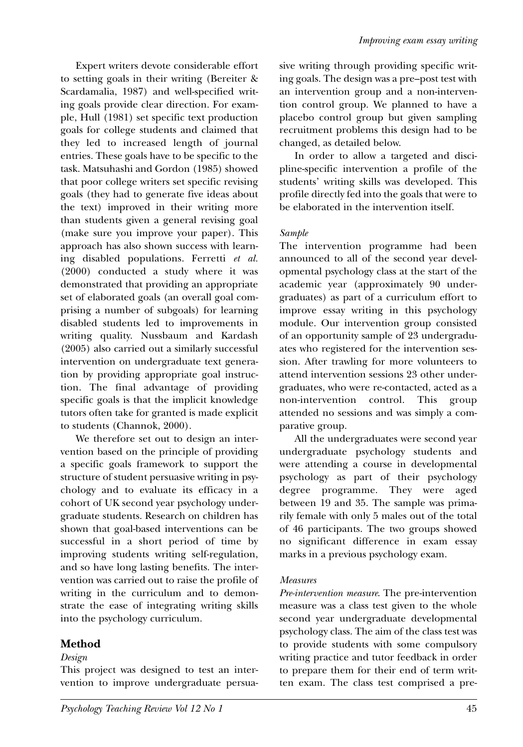Expert writers devote considerable effort to setting goals in their writing (Bereiter & Scardamalia, 1987) and well-specified writing goals provide clear direction. For example, Hull (1981) set specific text production goals for college students and claimed that they led to increased length of journal entries. These goals have to be specific to the task. Matsuhashi and Gordon (1985) showed that poor college writers set specific revising goals (they had to generate five ideas about the text) improved in their writing more than students given a general revising goal (make sure you improve your paper). This approach has also shown success with learning disabled populations. Ferretti *et al.* (2000) conducted a study where it was demonstrated that providing an appropriate set of elaborated goals (an overall goal comprising a number of subgoals) for learning disabled students led to improvements in writing quality. Nussbaum and Kardash (2005) also carried out a similarly successful intervention on undergraduate text generation by providing appropriate goal instruction. The final advantage of providing specific goals is that the implicit knowledge tutors often take for granted is made explicit to students (Channok, 2000).

We therefore set out to design an intervention based on the principle of providing a specific goals framework to support the structure of student persuasive writing in psychology and to evaluate its efficacy in a cohort of UK second year psychology undergraduate students. Research on children has shown that goal-based interventions can be successful in a short period of time by improving students writing self-regulation, and so have long lasting benefits. The intervention was carried out to raise the profile of writing in the curriculum and to demonstrate the ease of integrating writing skills into the psychology curriculum.

# **Method**

# *Design*

This project was designed to test an intervention to improve undergraduate persuasive writing through providing specific writing goals. The design was a pre–post test with an intervention group and a non-intervention control group. We planned to have a placebo control group but given sampling recruitment problems this design had to be changed, as detailed below.

In order to allow a targeted and discipline-specific intervention a profile of the students' writing skills was developed. This profile directly fed into the goals that were to be elaborated in the intervention itself.

## *Sample*

The intervention programme had been announced to all of the second year developmental psychology class at the start of the academic year (approximately 90 undergraduates) as part of a curriculum effort to improve essay writing in this psychology module. Our intervention group consisted of an opportunity sample of 23 undergraduates who registered for the intervention session. After trawling for more volunteers to attend intervention sessions 23 other undergraduates, who were re-contacted, acted as a non-intervention control. This group attended no sessions and was simply a comparative group.

All the undergraduates were second year undergraduate psychology students and were attending a course in developmental psychology as part of their psychology degree programme. They were aged between 19 and 35. The sample was primarily female with only 5 males out of the total of 46 participants. The two groups showed no significant difference in exam essay marks in a previous psychology exam.

## *Measures*

*Pre-intervention measure*. The pre-intervention measure was a class test given to the whole second year undergraduate developmental psychology class. The aim of the class test was to provide students with some compulsory writing practice and tutor feedback in order to prepare them for their end of term written exam. The class test comprised a pre-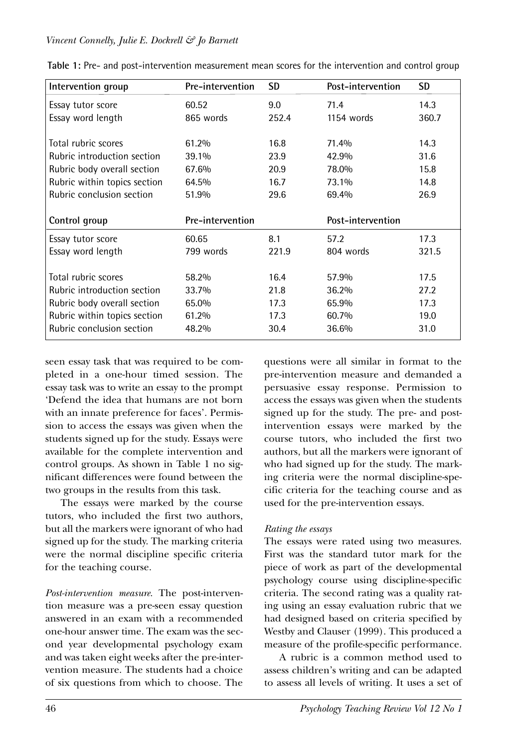#### *Vincent Connelly, Julie E. Dockrell & Jo Barnett*

| Intervention group           | <b>Pre-intervention</b> | <b>SD</b> | Post-intervention | <b>SD</b> |
|------------------------------|-------------------------|-----------|-------------------|-----------|
| Essay tutor score            | 60.52                   | 9.0       | 71.4              | 14.3      |
| Essay word length            | 865 words               | 252.4     | 1154 words        | 360.7     |
| Total rubric scores          | 61.2%                   | 16.8      | 71.4%             | 14.3      |
| Rubric introduction section  | 39.1%                   | 23.9      | 42.9%             | 31.6      |
| Rubric body overall section  | 67.6%                   | 20.9      | 78.0%             | 15.8      |
| Rubric within topics section | 64.5%                   | 16.7      | 73.1%             | 14.8      |
| Rubric conclusion section    | 51.9%                   | 29.6      | 69.4%             | 26.9      |
|                              |                         |           |                   |           |
| Control group                | Pre-intervention        |           | Post-intervention |           |
| Essay tutor score            | 60.65                   | 8.1       | 57.2              | 17.3      |
| Essay word length            | 799 words               | 221.9     | 804 words         | 321.5     |
| Total rubric scores          | 58.2%                   | 16.4      | 57.9%             | 17.5      |
| Rubric introduction section  | 33.7%                   | 21.8      | 36.2%             | 27.2      |
| Rubric body overall section  | 65.0%                   | 17.3      | 65.9%             | 17.3      |
| Rubric within topics section | 61.2%                   | 17.3      | 60.7%             | 19.0      |

**Table 1:** Pre- and post-intervention measurement mean scores for the intervention and control group

seen essay task that was required to be completed in a one-hour timed session. The essay task was to write an essay to the prompt 'Defend the idea that humans are not born with an innate preference for faces'. Permission to access the essays was given when the students signed up for the study. Essays were available for the complete intervention and control groups. As shown in Table 1 no significant differences were found between the two groups in the results from this task.

The essays were marked by the course tutors, who included the first two authors, but all the markers were ignorant of who had signed up for the study. The marking criteria were the normal discipline specific criteria for the teaching course.

*Post-intervention measure.* The post-intervention measure was a pre-seen essay question answered in an exam with a recommended one-hour answer time. The exam was the second year developmental psychology exam and was taken eight weeks after the pre-intervention measure. The students had a choice of six questions from which to choose. The questions were all similar in format to the pre-intervention measure and demanded a persuasive essay response. Permission to access the essays was given when the students signed up for the study. The pre- and postintervention essays were marked by the course tutors, who included the first two authors, but all the markers were ignorant of who had signed up for the study. The marking criteria were the normal discipline-specific criteria for the teaching course and as used for the pre-intervention essays.

## *Rating the essays*

The essays were rated using two measures. First was the standard tutor mark for the piece of work as part of the developmental psychology course using discipline-specific criteria. The second rating was a quality rating using an essay evaluation rubric that we had designed based on criteria specified by Westby and Clauser (1999). This produced a measure of the profile-specific performance.

A rubric is a common method used to assess children's writing and can be adapted to assess all levels of writing. It uses a set of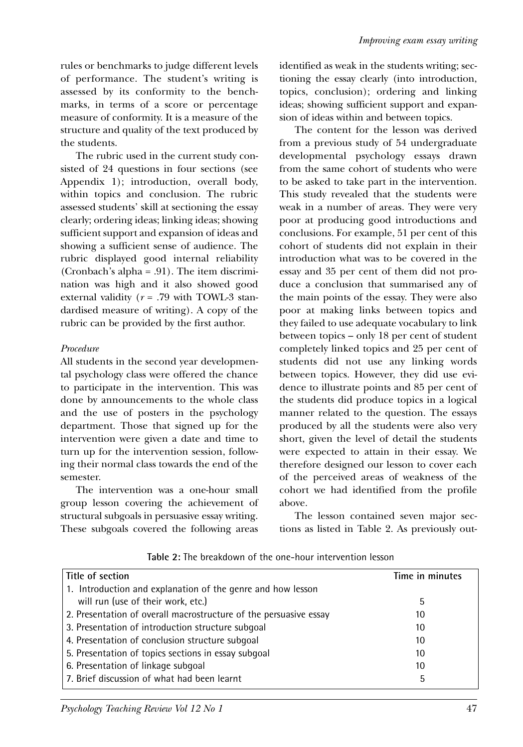rules or benchmarks to judge different levels of performance. The student's writing is assessed by its conformity to the benchmarks, in terms of a score or percentage measure of conformity. It is a measure of the structure and quality of the text produced by the students.

The rubric used in the current study consisted of 24 questions in four sections (see Appendix 1); introduction, overall body, within topics and conclusion. The rubric assessed students' skill at sectioning the essay clearly; ordering ideas; linking ideas; showing sufficient support and expansion of ideas and showing a sufficient sense of audience. The rubric displayed good internal reliability (Cronbach's alpha = .91). The item discrimination was high and it also showed good external validity (*r* = .79 with TOWL-3 standardised measure of writing). A copy of the rubric can be provided by the first author.

#### *Procedure*

All students in the second year developmental psychology class were offered the chance to participate in the intervention. This was done by announcements to the whole class and the use of posters in the psychology department. Those that signed up for the intervention were given a date and time to turn up for the intervention session, following their normal class towards the end of the semester.

The intervention was a one-hour small group lesson covering the achievement of structural subgoals in persuasive essay writing. These subgoals covered the following areas identified as weak in the students writing; sectioning the essay clearly (into introduction, topics, conclusion); ordering and linking ideas; showing sufficient support and expansion of ideas within and between topics.

The content for the lesson was derived from a previous study of 54 undergraduate developmental psychology essays drawn from the same cohort of students who were to be asked to take part in the intervention. This study revealed that the students were weak in a number of areas. They were very poor at producing good introductions and conclusions. For example, 51 per cent of this cohort of students did not explain in their introduction what was to be covered in the essay and 35 per cent of them did not produce a conclusion that summarised any of the main points of the essay. They were also poor at making links between topics and they failed to use adequate vocabulary to link between topics – only 18 per cent of student completely linked topics and 25 per cent of students did not use any linking words between topics. However, they did use evidence to illustrate points and 85 per cent of the students did produce topics in a logical manner related to the question. The essays produced by all the students were also very short, given the level of detail the students were expected to attain in their essay. We therefore designed our lesson to cover each of the perceived areas of weakness of the cohort we had identified from the profile above.

The lesson contained seven major sections as listed in Table 2. As previously out-

| Title of section                                                  | Time in minutes |
|-------------------------------------------------------------------|-----------------|
| 1. Introduction and explanation of the genre and how lesson       |                 |
| will run (use of their work, etc.)                                | 5               |
| 2. Presentation of overall macrostructure of the persuasive essay | 10              |
| 3. Presentation of introduction structure subgoal                 | 10              |
| 4. Presentation of conclusion structure subgoal                   | 10              |
| 5. Presentation of topics sections in essay subgoal               | 10              |
| 6. Presentation of linkage subqoal                                | 10              |
| 7. Brief discussion of what had been learnt                       | 5               |

**Table 2:** The breakdown of the one-hour intervention lesson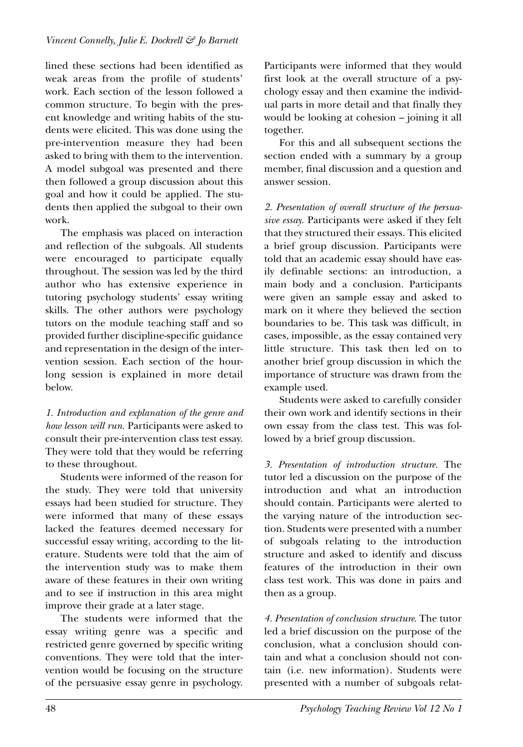lined these sections had been identified as weak areas from the profile of students' work. Each section of the lesson followed a common structure. To begin with the present knowledge and writing habits of the students were elicited. This was done using the pre-intervention measure they had been asked to bring with them to the intervention. A model subgoal was presented and there then followed a group discussion about this goal and how it could be applied. The students then applied the subgoal to their own work.

The emphasis was placed on interaction and reflection of the subgoals. All students were encouraged to participate equally throughout. The session was led by the third author who has extensive experience in tutoring psychology students' essay writing skills. The other authors were psychology tutors on the module teaching staff and so provided further discipline-specific guidance and representation in the design of the intervention session. Each section of the hourlong session is explained in more detail below.

*1. Introduction and explanation of the genre and how lesson will run.* Participants were asked to consult their pre-intervention class test essay. They were told that they would be referring to these throughout.

Students were informed of the reason for the study. They were told that university essays had been studied for structure. They were informed that many of these essays lacked the features deemed necessary for successful essay writing, according to the literature. Students were told that the aim of the intervention study was to make them aware of these features in their own writing and to see if instruction in this area might improve their grade at a later stage.

The students were informed that the essay writing genre was a specific and restricted genre governed by specific writing conventions. They were told that the intervention would be focusing on the structure of the persuasive essay genre in psychology. Participants were informed that they would first look at the overall structure of a psychology essay and then examine the individual parts in more detail and that finally they would be looking at cohesion – joining it all together.

For this and all subsequent sections the section ended with a summary by a group member, final discussion and a question and answer session.

*2. Presentation of overall structure of the persuasive essay.* Participants were asked if they felt that they structured their essays. This elicited a brief group discussion. Participants were told that an academic essay should have easily definable sections: an introduction, a main body and a conclusion. Participants were given an sample essay and asked to mark on it where they believed the section boundaries to be. This task was difficult, in cases, impossible, as the essay contained very little structure. This task then led on to another brief group discussion in which the importance of structure was drawn from the example used.

Students were asked to carefully consider their own work and identify sections in their own essay from the class test. This was followed by a brief group discussion.

*3. Presentation of introduction structure.* The tutor led a discussion on the purpose of the introduction and what an introduction should contain. Participants were alerted to the varying nature of the introduction section. Students were presented with a number of subgoals relating to the introduction structure and asked to identify and discuss features of the introduction in their own class test work. This was done in pairs and then as a group.

*4. Presentation of conclusion structure*. The tutor led a brief discussion on the purpose of the conclusion, what a conclusion should contain and what a conclusion should not contain (i.e. new information). Students were presented with a number of subgoals relat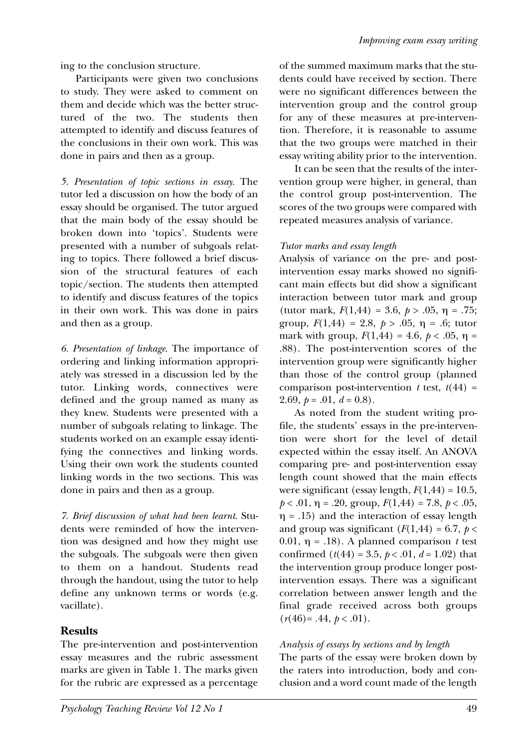ing to the conclusion structure.

Participants were given two conclusions to study. They were asked to comment on them and decide which was the better structured of the two. The students then attempted to identify and discuss features of the conclusions in their own work. This was done in pairs and then as a group.

*5. Presentation of topic sections in essay.* The tutor led a discussion on how the body of an essay should be organised. The tutor argued that the main body of the essay should be broken down into 'topics'. Students were presented with a number of subgoals relating to topics. There followed a brief discussion of the structural features of each topic/section. The students then attempted to identify and discuss features of the topics in their own work. This was done in pairs and then as a group.

*6. Presentation of linkage*. The importance of ordering and linking information appropriately was stressed in a discussion led by the tutor. Linking words, connectives were defined and the group named as many as they knew. Students were presented with a number of subgoals relating to linkage. The students worked on an example essay identifying the connectives and linking words. Using their own work the students counted linking words in the two sections. This was done in pairs and then as a group.

*7. Brief discussion of what had been learnt*. Students were reminded of how the intervention was designed and how they might use the subgoals. The subgoals were then given to them on a handout. Students read through the handout, using the tutor to help define any unknown terms or words (e.g. vacillate).

# **Results**

The pre-intervention and post-intervention essay measures and the rubric assessment marks are given in Table 1. The marks given for the rubric are expressed as a percentage of the summed maximum marks that the students could have received by section. There were no significant differences between the intervention group and the control group for any of these measures at pre-intervention. Therefore, it is reasonable to assume that the two groups were matched in their essay writing ability prior to the intervention.

It can be seen that the results of the intervention group were higher, in general, than the control group post-intervention. The scores of the two groups were compared with repeated measures analysis of variance.

# *Tutor marks and essay length*

Analysis of variance on the pre- and postintervention essay marks showed no significant main effects but did show a significant interaction between tutor mark and group (tutor mark,  $F(1,44) = 3.6, p > .05, \eta = .75;$ group,  $F(1,44) = 2.8, p > .05, \eta = .6$ ; tutor mark with group,  $F(1,44) = 4.6$ ,  $p < .05$ ,  $\eta =$ .88). The post-intervention scores of the intervention group were significantly higher than those of the control group (planned comparison post-intervention  $t$  test,  $t(44)$  = 2.69,  $p = .01$ ,  $d = 0.8$ ).

As noted from the student writing profile, the students' essays in the pre-intervention were short for the level of detail expected within the essay itself. An ANOVA comparing pre- and post-intervention essay length count showed that the main effects were significant (essay length,  $F(1,44) = 10.5$ ,  $p < .01$ ,  $\eta = .20$ , group,  $F(1,44) = 7.8$ ,  $p < .05$ ,  $\eta = .15$ ) and the interaction of essay length and group was significant  $(F(1,44) = 6.7, p <$ 0.01,  $\eta = .18$ ). A planned comparison *t* test confirmed  $(t(44) = 3.5, p < .01, d = 1.02)$  that the intervention group produce longer postintervention essays. There was a significant correlation between answer length and the final grade received across both groups  $(r(46)=.44, p < .01).$ 

# *Analysis of essays by sections and by length*

The parts of the essay were broken down by the raters into introduction, body and conclusion and a word count made of the length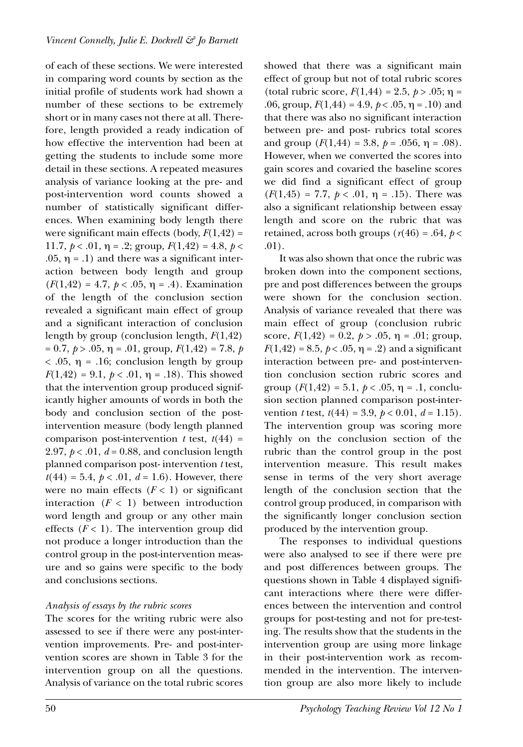of each of these sections. We were interested in comparing word counts by section as the initial profile of students work had shown a number of these sections to be extremely short or in many cases not there at all. Therefore, length provided a ready indication of how effective the intervention had been at getting the students to include some more detail in these sections. A repeated measures analysis of variance looking at the pre- and post-intervention word counts showed a number of statistically significant differences. When examining body length there were significant main effects (body,  $F(1,42)$  = 11.7,  $p < .01$ ,  $\eta = .2$ ; group,  $F(1,42) = 4.8$ ,  $p <$ .05,  $\eta$  = .1) and there was a significant interaction between body length and group  $(F(1, 42) = 4.7, p < .05, \eta = .4)$ . Examination of the length of the conclusion section revealed a significant main effect of group and a significant interaction of conclusion length by group (conclusion length, *F*(1,42)  $= 0.7, p > .05, \eta = .01, \text{ group}, F(1, 42) = 7.8, p$  $< .05$ ,  $\eta = .16$ ; conclusion length by group  $F(1,42) = 9.1, p < .01, \eta = .18$ . This showed that the intervention group produced significantly higher amounts of words in both the body and conclusion section of the postintervention measure (body length planned comparison post-intervention  $t$  test,  $t(44)$  = 2.97,  $p < .01$ ,  $d = 0.88$ , and conclusion length planned comparison post- intervention *t* test,  $t(44) = 5.4, p < .01, d = 1.6$ . However, there were no main effects  $(F < 1)$  or significant interaction  $(F < 1)$  between introduction word length and group or any other main effects  $(F < 1)$ . The intervention group did not produce a longer introduction than the control group in the post-intervention measure and so gains were specific to the body and conclusions sections.

## *Analysis of essays by the rubric scores*

The scores for the writing rubric were also assessed to see if there were any post-intervention improvements. Pre- and post-intervention scores are shown in Table 3 for the intervention group on all the questions. Analysis of variance on the total rubric scores showed that there was a significant main effect of group but not of total rubric scores (total rubric score,  $F(1,44) = 2.5, p > .05; \eta =$ .06, group,  $F(1,44) = 4.9$ ,  $p < .05$ ,  $\eta = .10$ ) and that there was also no significant interaction between pre- and post- rubrics total scores and group  $(F(1,44) = 3.8, p = .056, \eta = .08)$ . However, when we converted the scores into gain scores and covaried the baseline scores we did find a significant effect of group  $(F(1,45) = 7.7, p < .01, \eta = .15)$ . There was also a significant relationship between essay length and score on the rubric that was retained, across both groups  $(r(46) = .64, p <$ .01).

It was also shown that once the rubric was broken down into the component sections, pre and post differences between the groups were shown for the conclusion section. Analysis of variance revealed that there was main effect of group (conclusion rubric score,  $F(1,42) = 0.2$ ,  $p > .05$ ,  $n = .01$ ; group,  $F(1,42) = 8.5, p < .05, \eta = .2$ ) and a significant interaction between pre- and post-intervention conclusion section rubric scores and group  $(F(1,42) = 5.1, p < .05, \eta = .1, \text{conclu-}$ sion section planned comparison post-intervention *t* test,  $t(44) = 3.9, p < 0.01, d = 1.15$ . The intervention group was scoring more highly on the conclusion section of the rubric than the control group in the post intervention measure. This result makes sense in terms of the very short average length of the conclusion section that the control group produced, in comparison with the significantly longer conclusion section produced by the intervention group.

The responses to individual questions were also analysed to see if there were pre and post differences between groups. The questions shown in Table 4 displayed significant interactions where there were differences between the intervention and control groups for post-testing and not for pre-testing. The results show that the students in the intervention group are using more linkage in their post-intervention work as recommended in the intervention. The intervention group are also more likely to include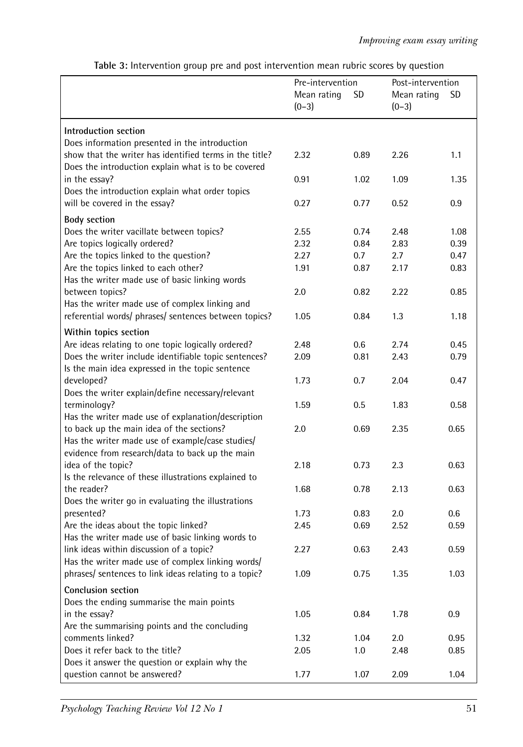|                                                                                                 | Pre-intervention |             | Post-intervention |      |
|-------------------------------------------------------------------------------------------------|------------------|-------------|-------------------|------|
|                                                                                                 | Mean rating      | <b>SD</b>   | Mean rating       | SD   |
|                                                                                                 | $(0-3)$          |             | $(0-3)$           |      |
|                                                                                                 |                  |             |                   |      |
| Introduction section                                                                            |                  |             |                   |      |
| Does information presented in the introduction                                                  |                  |             |                   |      |
| show that the writer has identified terms in the title?                                         | 2.32             | 0.89        | 2.26              | 1.1  |
| Does the introduction explain what is to be covered                                             |                  |             |                   |      |
| in the essay?                                                                                   | 0.91             | 1.02        | 1.09              | 1.35 |
| Does the introduction explain what order topics                                                 |                  |             |                   |      |
| will be covered in the essay?                                                                   | 0.27             | 0.77        | 0.52              | 0.9  |
| <b>Body section</b>                                                                             |                  |             |                   |      |
| Does the writer vacillate between topics?                                                       | 2.55             | 0.74        | 2.48              | 1.08 |
| Are topics logically ordered?                                                                   | 2.32             | 0.84        | 2.83              | 0.39 |
| Are the topics linked to the question?                                                          | 2.27             | 0.7         | 2.7               | 0.47 |
| Are the topics linked to each other?                                                            | 1.91             | 0.87        | 2.17              | 0.83 |
| Has the writer made use of basic linking words                                                  |                  |             |                   |      |
| between topics?                                                                                 | 2.0              | 0.82        | 2.22              | 0.85 |
| Has the writer made use of complex linking and                                                  |                  |             |                   |      |
| referential words/ phrases/ sentences between topics?                                           | 1.05             | 0.84        | 1.3               | 1.18 |
|                                                                                                 |                  |             |                   |      |
| Within topics section                                                                           |                  |             |                   |      |
| Are ideas relating to one topic logically ordered?                                              | 2.48             | 0.6         | 2.74              | 0.45 |
| Does the writer include identifiable topic sentences?                                           | 2.09             | 0.81        | 2.43              | 0.79 |
| Is the main idea expressed in the topic sentence                                                |                  |             |                   |      |
| developed?                                                                                      | 1.73             | 0.7         | 2.04              | 0.47 |
| Does the writer explain/define necessary/relevant                                               |                  |             |                   |      |
| terminology?                                                                                    | 1.59             | 0.5         | 1.83              | 0.58 |
| Has the writer made use of explanation/description<br>to back up the main idea of the sections? | 2.0              | 0.69        | 2.35              | 0.65 |
| Has the writer made use of example/case studies/                                                |                  |             |                   |      |
| evidence from research/data to back up the main                                                 |                  |             |                   |      |
| idea of the topic?                                                                              | 2.18             | 0.73        | 2.3               | 0.63 |
| Is the relevance of these illustrations explained to                                            |                  |             |                   |      |
| the reader?                                                                                     | 1.68             | 0.78        | 2.13              | 0.63 |
| Does the writer go in evaluating the illustrations                                              |                  |             |                   |      |
| presented?                                                                                      | 1.73             | 0.83        | 2.0               | 0.6  |
| Are the ideas about the topic linked?                                                           | 2.45             | 0.69        | 2.52              | 0.59 |
| Has the writer made use of basic linking words to                                               |                  |             |                   |      |
| link ideas within discussion of a topic?                                                        | 2.27             | 0.63        | 2.43              | 0.59 |
| Has the writer made use of complex linking words/                                               |                  |             |                   |      |
| phrases/ sentences to link ideas relating to a topic?                                           | 1.09             | 0.75        | 1.35              | 1.03 |
|                                                                                                 |                  |             |                   |      |
| Conclusion section                                                                              |                  |             |                   |      |
| Does the ending summarise the main points                                                       |                  |             |                   |      |
| in the essay?                                                                                   | 1.05             | 0.84        | 1.78              | 0.9  |
| Are the summarising points and the concluding<br>comments linked?                               |                  |             |                   |      |
| Does it refer back to the title?                                                                | 1.32             | 1.04<br>1.0 | 2.0               | 0.95 |
| Does it answer the question or explain why the                                                  | 2.05             |             | 2.48              | 0.85 |
| question cannot be answered?                                                                    | 1.77             | 1.07        | 2.09              | 1.04 |
|                                                                                                 |                  |             |                   |      |

**Table 3:** Intervention group pre and post intervention mean rubric scores by question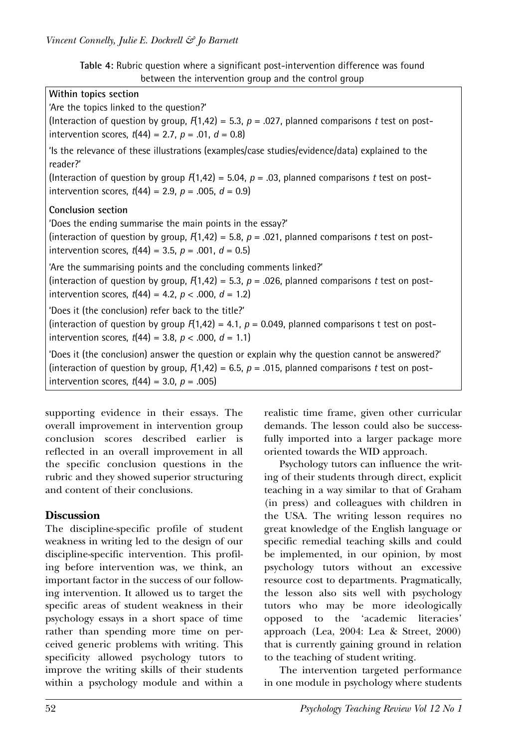**Table 4:** Rubric question where a significant post-intervention difference was found between the intervention group and the control group

| Within topics section                                                                                       |
|-------------------------------------------------------------------------------------------------------------|
| 'Are the topics linked to the question?'                                                                    |
| (Interaction of question by group, $F(1,42) = 5.3$ , $p = .027$ , planned comparisons t test on post-       |
| intervention scores, $t(44) = 2.7$ , $p = .01$ , $d = 0.8$ )                                                |
| 'Is the relevance of these illustrations (examples/case studies/evidence/data) explained to the<br>reader?' |
| (Interaction of question by group $F(1,42) = 5.04$ , $p = .03$ , planned comparisons t test on post-        |
| intervention scores, $t(44) = 2.9$ , $p = .005$ , $d = 0.9$ )                                               |
| <b>Conclusion section</b>                                                                                   |
| 'Does the ending summarise the main points in the essay?'                                                   |
| (interaction of question by group, $F(1,42) = 5.8$ , $p = .021$ , planned comparisons t test on post-       |
| intervention scores, $t(44) = 3.5$ , $p = .001$ , $d = 0.5$ )                                               |
| 'Are the summarising points and the concluding comments linked?'                                            |
| (interaction of question by group, $F(1,42) = 5.3$ , $p = .026$ , planned comparisons t test on post-       |
| intervention scores, $t(44) = 4.2$ , $p < .000$ , $d = 1.2$ )                                               |
| 'Does it (the conclusion) refer back to the title?'                                                         |
| (interaction of question by group $F(1,42) = 4.1$ , $p = 0.049$ , planned comparisons t test on post-       |
| intervention scores, $t(44) = 3.8$ , $p < .000$ , $d = 1.1$ )                                               |
|                                                                                                             |
| 'Does it (the conclusion) answer the question or explain why the question cannot be answered?'              |
| (interaction of question by group, $F(1,42) = 6.5$ , $p = .015$ , planned comparisons t test on post-       |
| intervention scores, $t(44) = 3.0$ , $p = .005$ )                                                           |

supporting evidence in their essays. The overall improvement in intervention group conclusion scores described earlier is reflected in an overall improvement in all the specific conclusion questions in the rubric and they showed superior structuring and content of their conclusions.

# **Discussion**

The discipline-specific profile of student weakness in writing led to the design of our discipline-specific intervention. This profiling before intervention was, we think, an important factor in the success of our following intervention. It allowed us to target the specific areas of student weakness in their psychology essays in a short space of time rather than spending more time on perceived generic problems with writing. This specificity allowed psychology tutors to improve the writing skills of their students within a psychology module and within a

realistic time frame, given other curricular demands. The lesson could also be successfully imported into a larger package more oriented towards the WID approach.

Psychology tutors can influence the writing of their students through direct, explicit teaching in a way similar to that of Graham (in press) and colleagues with children in the USA. The writing lesson requires no great knowledge of the English language or specific remedial teaching skills and could be implemented, in our opinion, by most psychology tutors without an excessive resource cost to departments. Pragmatically, the lesson also sits well with psychology tutors who may be more ideologically opposed to the 'academic literacies' approach (Lea, 2004: Lea & Street, 2000) that is currently gaining ground in relation to the teaching of student writing.

The intervention targeted performance in one module in psychology where students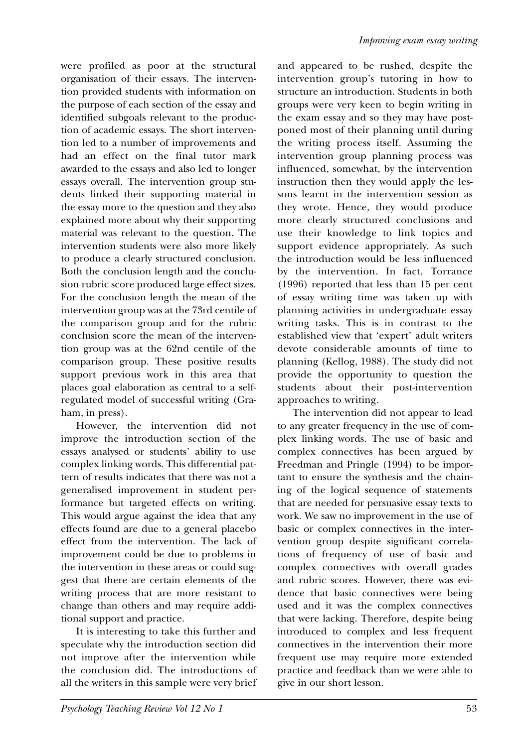were profiled as poor at the structural organisation of their essays. The intervention provided students with information on the purpose of each section of the essay and identified subgoals relevant to the production of academic essays. The short intervention led to a number of improvements and had an effect on the final tutor mark awarded to the essays and also led to longer essays overall. The intervention group students linked their supporting material in the essay more to the question and they also explained more about why their supporting material was relevant to the question. The intervention students were also more likely to produce a clearly structured conclusion. Both the conclusion length and the conclusion rubric score produced large effect sizes. For the conclusion length the mean of the intervention group was at the 73rd centile of the comparison group and for the rubric conclusion score the mean of the intervention group was at the 62nd centile of the comparison group. These positive results support previous work in this area that places goal elaboration as central to a selfregulated model of successful writing (Graham, in press).

However, the intervention did not improve the introduction section of the essays analysed or students' ability to use complex linking words. This differential pattern of results indicates that there was not a generalised improvement in student performance but targeted effects on writing. This would argue against the idea that any effects found are due to a general placebo effect from the intervention. The lack of improvement could be due to problems in the intervention in these areas or could suggest that there are certain elements of the writing process that are more resistant to change than others and may require additional support and practice.

It is interesting to take this further and speculate why the introduction section did not improve after the intervention while the conclusion did. The introductions of all the writers in this sample were very brief and appeared to be rushed, despite the intervention group's tutoring in how to structure an introduction. Students in both groups were very keen to begin writing in the exam essay and so they may have postponed most of their planning until during the writing process itself. Assuming the intervention group planning process was influenced, somewhat, by the intervention instruction then they would apply the lessons learnt in the intervention session as they wrote. Hence, they would produce more clearly structured conclusions and use their knowledge to link topics and support evidence appropriately. As such the introduction would be less influenced by the intervention. In fact, Torrance (1996) reported that less than 15 per cent of essay writing time was taken up with planning activities in undergraduate essay writing tasks. This is in contrast to the established view that 'expert' adult writers devote considerable amounts of time to planning (Kellog, 1988). The study did not provide the opportunity to question the students about their post-intervention approaches to writing.

The intervention did not appear to lead to any greater frequency in the use of complex linking words. The use of basic and complex connectives has been argued by Freedman and Pringle (1994) to be important to ensure the synthesis and the chaining of the logical sequence of statements that are needed for persuasive essay texts to work. We saw no improvement in the use of basic or complex connectives in the intervention group despite significant correlations of frequency of use of basic and complex connectives with overall grades and rubric scores. However, there was evidence that basic connectives were being used and it was the complex connectives that were lacking. Therefore, despite being introduced to complex and less frequent connectives in the intervention their more frequent use may require more extended practice and feedback than we were able to give in our short lesson.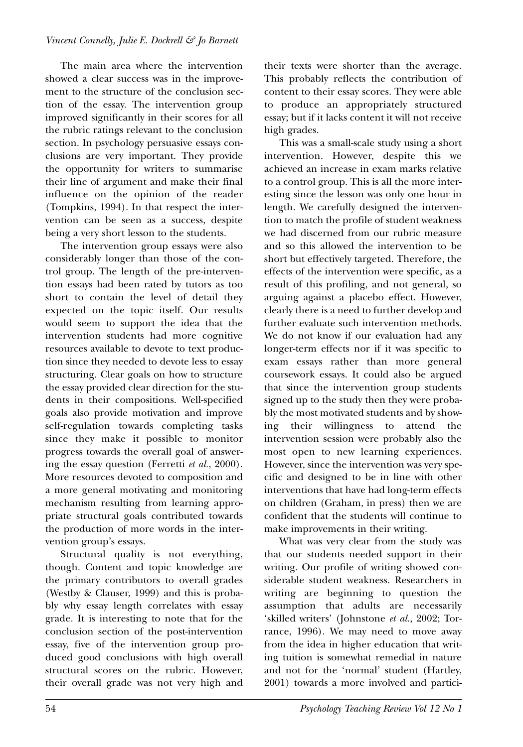The main area where the intervention showed a clear success was in the improvement to the structure of the conclusion section of the essay. The intervention group improved significantly in their scores for all the rubric ratings relevant to the conclusion section. In psychology persuasive essays conclusions are very important. They provide the opportunity for writers to summarise their line of argument and make their final influence on the opinion of the reader (Tompkins, 1994). In that respect the intervention can be seen as a success, despite being a very short lesson to the students.

The intervention group essays were also considerably longer than those of the control group. The length of the pre-intervention essays had been rated by tutors as too short to contain the level of detail they expected on the topic itself. Our results would seem to support the idea that the intervention students had more cognitive resources available to devote to text production since they needed to devote less to essay structuring. Clear goals on how to structure the essay provided clear direction for the students in their compositions. Well-specified goals also provide motivation and improve self-regulation towards completing tasks since they make it possible to monitor progress towards the overall goal of answering the essay question (Ferretti *et al.*, 2000). More resources devoted to composition and a more general motivating and monitoring mechanism resulting from learning appropriate structural goals contributed towards the production of more words in the intervention group's essays.

Structural quality is not everything, though. Content and topic knowledge are the primary contributors to overall grades (Westby & Clauser, 1999) and this is probably why essay length correlates with essay grade. It is interesting to note that for the conclusion section of the post-intervention essay, five of the intervention group produced good conclusions with high overall structural scores on the rubric. However, their overall grade was not very high and their texts were shorter than the average. This probably reflects the contribution of content to their essay scores. They were able to produce an appropriately structured essay; but if it lacks content it will not receive high grades.

This was a small-scale study using a short intervention. However, despite this we achieved an increase in exam marks relative to a control group. This is all the more interesting since the lesson was only one hour in length. We carefully designed the intervention to match the profile of student weakness we had discerned from our rubric measure and so this allowed the intervention to be short but effectively targeted. Therefore, the effects of the intervention were specific, as a result of this profiling, and not general, so arguing against a placebo effect. However, clearly there is a need to further develop and further evaluate such intervention methods. We do not know if our evaluation had any longer-term effects nor if it was specific to exam essays rather than more general coursework essays. It could also be argued that since the intervention group students signed up to the study then they were probably the most motivated students and by showing their willingness to attend the intervention session were probably also the most open to new learning experiences. However, since the intervention was very specific and designed to be in line with other interventions that have had long-term effects on children (Graham, in press) then we are confident that the students will continue to make improvements in their writing.

What was very clear from the study was that our students needed support in their writing. Our profile of writing showed considerable student weakness. Researchers in writing are beginning to question the assumption that adults are necessarily 'skilled writers' (Johnstone *et al.*, 2002; Torrance, 1996). We may need to move away from the idea in higher education that writing tuition is somewhat remedial in nature and not for the 'normal' student (Hartley, 2001) towards a more involved and partici-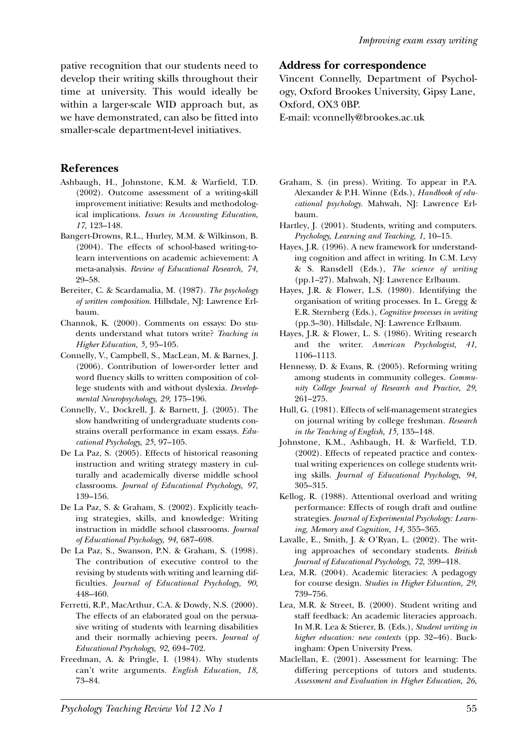pative recognition that our students need to develop their writing skills throughout their time at university. This would ideally be within a larger-scale WID approach but, as we have demonstrated, can also be fitted into smaller-scale department-level initiatives.

## **References**

- Ashbaugh, H., Johnstone, K.M. & Warfield, T.D. (2002). Outcome assessment of a writing-skill improvement initiative: Results and methodological implications. *Issues in Accounting Education*, *17,* 123–148.
- Bangert-Drowns, R.L., Hurley, M.M. & Wilkinson, B. (2004). The effects of school-based writing-tolearn interventions on academic achievement: A meta-analysis. *Review of Educational Research, 74,* 29–58.
- Bereiter, C. & Scardamalia, M. (1987). *The psychology of written composition*. Hillsdale, NJ: Lawrence Erlbaum.
- Channok, K. (2000). Comments on essays: Do students understand what tutors write? *Teaching in Higher Education, 5,* 95–105.
- Connelly, V., Campbell, S., MacLean, M. & Barnes, J. (2006). Contribution of lower-order letter and word fluency skills to written composition of college students with and without dyslexia. *Developmental Neuropsychology, 29,* 175–196.
- Connelly, V., Dockrell, J. & Barnett, J. (2005). The slow handwriting of undergraduate students constrains overall performance in exam essays. *Educational Psychology, 25,* 97–105.
- De La Paz, S. (2005). Effects of historical reasoning instruction and writing strategy mastery in culturally and academically diverse middle school classrooms. *Journal of Educational Psychology, 97,* 139–156.
- De La Paz, S. & Graham, S. (2002). Explicitly teaching strategies, skills, and knowledge: Writing instruction in middle school classrooms. *Journal of Educational Psychology, 94,* 687–698.
- De La Paz, S., Swanson, P.N. & Graham, S. (1998). The contribution of executive control to the revising by students with writing and learning difficulties. *Journal of Educational Psychology, 90,* 448–460.
- Ferretti, R.P., MacArthur, C.A. & Dowdy, N.S. (2000). The effects of an elaborated goal on the persuasive writing of students with learning disabilities and their normally achieving peers. *Journal of Educational Psychology, 92,* 694–702.
- Freedman, A. & Pringle, I. (1984). Why students can't write arguments. *English Education, 18,* 73–84.

## **Address for correspondence**

Vincent Connelly, Department of Psychology, Oxford Brookes University, Gipsy Lane, Oxford, OX3 0BP.

E-mail: vconnelly@brookes.ac.uk

- Graham, S. (in press). Writing. To appear in P.A. Alexander & P.H. Winne (Eds.), *Handbook of educational psychology*. Mahwah, NJ: Lawrence Erlbaum.
- Hartley, J. (2001). Students, writing and computers. *Psychology, Learning and Teaching, 1,* 10–15.
- Hayes, J.R. (1996). A new framework for understanding cognition and affect in writing. In C.M. Levy & S. Ransdell (Eds.), *The science of writing* (pp.1–27). Mahwah, NJ: Lawrence Erlbaum.
- Hayes, J.R. & Flower, L.S. (1980). Identifying the organisation of writing processes. In L. Gregg & E.R. Sternberg (Eds.), *Cognitive processes in writing* (pp.3–30). Hillsdale, NJ: Lawrence Erlbaum.
- Hayes, J.R. & Flower, L. S. (1986). Writing research and the writer. *American Psychologist, 41,* 1106–1113.
- Hennessy, D. & Evans, R. (2005). Reforming writing among students in community colleges. *Community College Journal of Research and Practice, 29,* 261–275.
- Hull, G. (1981). Effects of self-management strategies on journal writing by college freshman*. Research in the Teaching of English, 15,* 135–148.
- Johnstone, K.M., Ashbaugh, H. & Warfield, T.D. (2002). Effects of repeated practice and contextual writing experiences on college students writing skills. *Journal of Educational Psychology, 94,* 305–315.
- Kellog, R. (1988). Attentional overload and writing performance: Effects of rough draft and outline strategies. *Journal of Experimental Psychology: Learning, Memory and Cognition, 14,* 355–365.
- Lavalle, E., Smith, J. & O'Ryan, L. (2002). The writing approaches of secondary students. *British Journal of Educational Psychology, 72,* 399–418.
- Lea, M.R. (2004). Academic literacies: A pedagogy for course design. *Studies in Higher Education, 29,* 739–756.
- Lea, M.R. & Street, B. (2000). Student writing and staff feedback: An academic literacies approach. In M.R. Lea & Stierer, B. (Eds.), *Student writing in higher education: new contexts* (pp. 32–46). Buckingham: Open University Press.
- Maclellan, E. (2001). Assessment for learning: The differing perceptions of tutors and students. *Assessment and Evaluation in Higher Education, 26,*